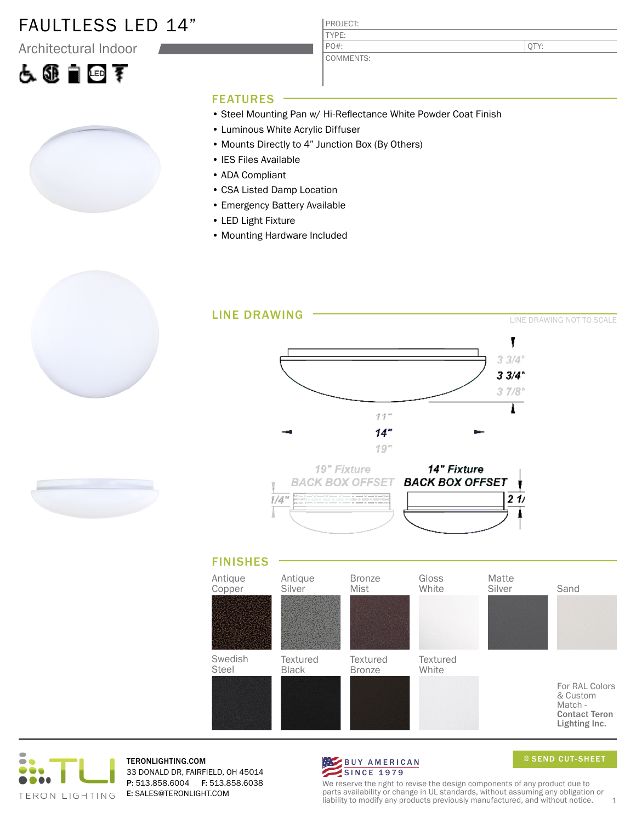### FAULTLESS LED 14"

Architectural Indoor

# 医亚自由素



| u<br>۱.<br>e fil |  |
|------------------|--|
|                  |  |
|                  |  |

COMMENTS: PO#:

PROJ TYPE:

QTY:

#### FEATURES

- Steel Mounting Pan w/ Hi-Reflectance White Powder Coat Finish
- Luminous White Acrylic Diffuser
- Mounts Directly to 4" Junction Box (By Others)
- IES Files Available
- ADA Compliant
- CSA Listed Damp Location
- Emergency Battery Available
- LED Light Fixture
- Mounting Hardware Included





TERONLIGHTING.COM 33 DONALD DR, FAIRFIELD, OH 45014 P: 513.858.6004 F: 513.858.6038 E: SALES@TERONLIGHT.COM



SEND CUT-SHEET

We reserve the right to revise the design components of any product due to parts availability or change in UL standards, without assuming any obligation or liability to modify any products previously manufactured, and without notice.  $1$